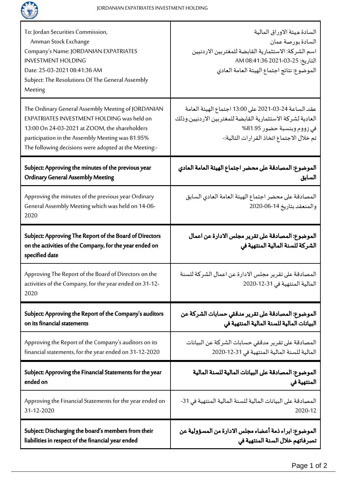

| To: Jordan Securities Commission,<br>Amman Stock Exchange<br>Company's Name: JORDANIAN EXPATRIATES<br><b>INVESTMENT HOLDING</b><br>Date: 25-03-2021 08:41:36 AM<br>Subject: The Resolutions Of The General Assembly<br>Meeting                                 | السادة ميئة الاوراق المالية<br>السادة بورصة عمان<br>اسم الشركة: الاستثمارية القابضة للمغتربين الاردنيين<br>التاريخ: 25-03-2021 1:36 AM<br>الموضوع: نتائج اجتماع الهيئة العامة العادي          |
|----------------------------------------------------------------------------------------------------------------------------------------------------------------------------------------------------------------------------------------------------------------|-----------------------------------------------------------------------------------------------------------------------------------------------------------------------------------------------|
| The Ordinary General Assembly Meeting of JORDANIAN<br>EXPATRIATES INVESTMENT HOLDING was held on<br>13:00 On 24-03-2021 at ZOOM, the shareholders<br>participation in the Assembly Meeting was 81.95%<br>The following decisions were adopted at the Meeting:- | عقد الساعة 24-03-2021 على 13:00 اجتماع الهيئة العامة<br>العادية لشركة الاستثمارية القابضة للمغتربين الاردنيين وذلك<br>في زووم وبنسبة حضور 81.95%<br>تم خلال الاجتماع اتخاذ القرارات التالية:- |
| Subject: Approving the minutes of the previous year                                                                                                                                                                                                            | الموضوع: المصادقة على محضر اجتماع الهيئة العامة العادي                                                                                                                                        |
| <b>Ordinary General Assembly Meeting</b>                                                                                                                                                                                                                       | السابق                                                                                                                                                                                        |
| Approving the minutes of the previous year Ordinary<br>General Assembly Meeting which was held on 14-06-<br>2020                                                                                                                                               | المصادقة على محضر اجتماع الهيئة العامة العادي السابق<br>والمنعقد بتاريخ 14-06-2020                                                                                                            |
| Subject: Approving The Report of the Board of Directors<br>on the activities of the Company, for the year ended on<br>specified date                                                                                                                           | الموضوع: المصادقة على تقرير مجلس الادارة عن اعمال<br>الشركة للسنة المالية المنتهية في                                                                                                         |
| Approving The Report of the Board of Directors on the<br>activities of the Company, for the year ended on 31-12-<br>2020                                                                                                                                       | المصادقة على تقرير مجلس الادارة عن اعمال الشركة للسنة<br>المالية المنتهية في 31-12-2020                                                                                                       |
| Subject: Approving the Report of the Company's auditors                                                                                                                                                                                                        | الموضوع: المصادقة على تقرير مدققي حسابات الشركة عن                                                                                                                                            |
| on its financial statements                                                                                                                                                                                                                                    | البيانات المالية للسنة المالية المنتهية في                                                                                                                                                    |
| Approving the Report of the Company's auditors on its                                                                                                                                                                                                          | المصادقة على تقرير مدققى حسابات الشركة عن البيانات                                                                                                                                            |
| financial statements, for the year ended on 31-12-2020                                                                                                                                                                                                         | المالية للسنة المالية المنتهية في 31-12-2020                                                                                                                                                  |
| Subject: Approving the Financial Statements for the year                                                                                                                                                                                                       | الموضوع: المصادقة على البيانات المالية للسنة المالية                                                                                                                                          |
| ended on                                                                                                                                                                                                                                                       | المنتهية في                                                                                                                                                                                   |
| Approving the Financial Statements for the year ended on                                                                                                                                                                                                       | المصادقة على البيانات المالية للسنة المالية المنتهية في 31-                                                                                                                                   |
| 31-12-2020                                                                                                                                                                                                                                                     | 2020-12                                                                                                                                                                                       |
| Subject: Discharging the board's members from their                                                                                                                                                                                                            | الموضوع: ابراء ذمة أعضاء مجلس الادارة من المسؤولية عن                                                                                                                                         |
| liabilities in respect of the financial year ended                                                                                                                                                                                                             | تصرفاتهم خلال السنة المنتهية في                                                                                                                                                               |